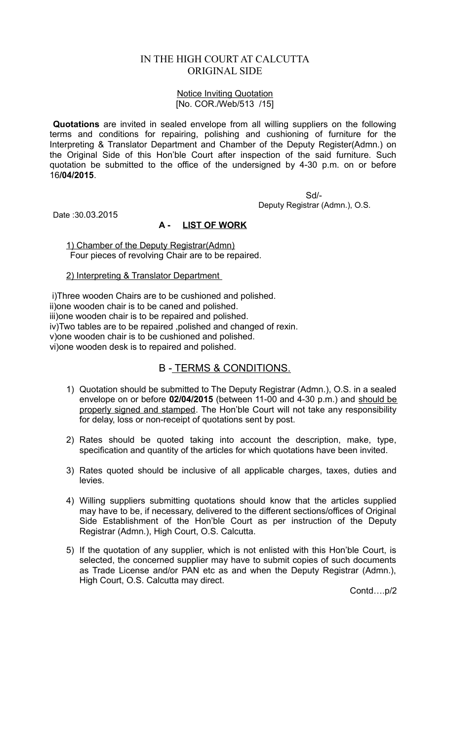# IN THE HIGH COURT AT CALCUTTA ORIGINAL SIDE

#### Notice Inviting Quotation [No. COR./Web/513 /15]

**Quotations** are invited in sealed envelope from all willing suppliers on the following terms and conditions for repairing, polishing and cushioning of furniture for the Interpreting & Translator Department and Chamber of the Deputy Register(Admn.) on the Original Side of this Hon'ble Court after inspection of the said furniture. Such quotation be submitted to the office of the undersigned by 4-30 p.m. on or before 16**/04/2015**.

> Sd/- Deputy Registrar (Admn.), O.S.

Date :30.03.2015

## **A - LIST OF WORK**

1) Chamber of the Deputy Registrar(Admn) Four pieces of revolving Chair are to be repaired.

### 2) Interpreting & Translator Department

 i)Three wooden Chairs are to be cushioned and polished. ii)one wooden chair is to be caned and polished. iii)one wooden chair is to be repaired and polished. iv)Two tables are to be repaired ,polished and changed of rexin. v)one wooden chair is to be cushioned and polished. vi)one wooden desk is to repaired and polished.

# B - TERMS & CONDITIONS.

- 1) Quotation should be submitted to The Deputy Registrar (Admn.), O.S. in a sealed envelope on or before **02/04/2015** (between 11-00 and 4-30 p.m.) and should be properly signed and stamped. The Hon'ble Court will not take any responsibility for delay, loss or non-receipt of quotations sent by post.
- 2) Rates should be quoted taking into account the description, make, type, specification and quantity of the articles for which quotations have been invited.
- 3) Rates quoted should be inclusive of all applicable charges, taxes, duties and levies.
- 4) Willing suppliers submitting quotations should know that the articles supplied may have to be, if necessary, delivered to the different sections/offices of Original Side Establishment of the Hon'ble Court as per instruction of the Deputy Registrar (Admn.), High Court, O.S. Calcutta.
- 5) If the quotation of any supplier, which is not enlisted with this Hon'ble Court, is selected, the concerned supplier may have to submit copies of such documents as Trade License and/or PAN etc as and when the Deputy Registrar (Admn.), High Court, O.S. Calcutta may direct.

Contd….p/2